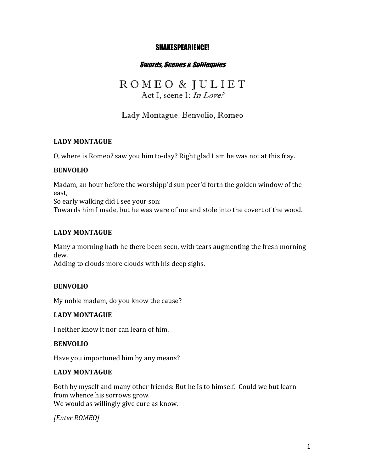### SHAKESPEARIENCE!

### Swords, Scenes & Soliloquies

# R O M E O & J U L I E T Act I, scene 1: In Love?

## Lady Montague, Benvolio, Romeo

### **LADY MONTAGUE**

O, where is Romeo? saw you him to-day? Right glad I am he was not at this fray.

### **BENVOLIO**

Madam, an hour before the worshipp'd sun peer'd forth the golden window of the east,

So early walking did I see your son:

Towards him I made, but he was ware of me and stole into the covert of the wood.

### **LADY MONTAGUE**

Many a morning hath he there been seen, with tears augmenting the fresh morning dew.

Adding to clouds more clouds with his deep sighs.

### **BENVOLIO**

My noble madam, do you know the cause?

### **LADY MONTAGUE**

I neither know it nor can learn of him.

### **BENVOLIO**

Have you importuned him by any means?

### **LADY MONTAGUE**

Both by myself and many other friends: But he Is to himself. Could we but learn from whence his sorrows grow. We would as willingly give cure as know.

*[Enter ROMEO]*